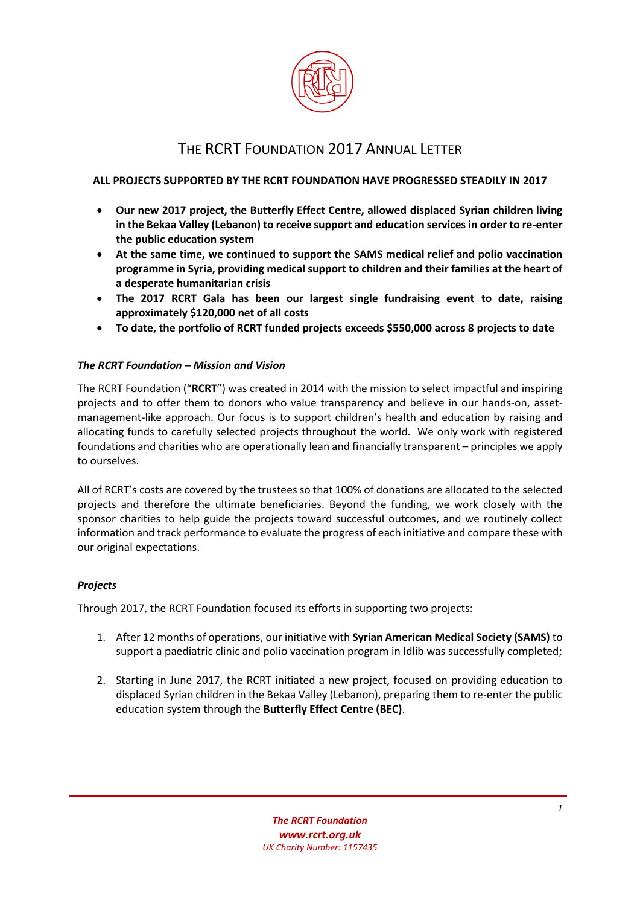

# THE RCRT FOUNDATION 2017 ANNUAL LETTER

## **ALL PROJECTS SUPPORTED BY THE RCRT FOUNDATION HAVE PROGRESSED STEADILY IN 2017**

- **Our new 2017 project, the Butterfly Effect Centre, allowed displaced Syrian children living in the Bekaa Valley (Lebanon) to receive support and education services in order to re-enter the public education system**
- **At the same time, we continued to support the SAMS medical relief and polio vaccination programme in Syria, providing medical support to children and their families at the heart of a desperate humanitarian crisis**
- **The 2017 RCRT Gala has been our largest single fundraising event to date, raising approximately \$120,000 net of all costs**
- **To date, the portfolio of RCRT funded projects exceeds \$550,000 across 8 projects to date**

## *The RCRT Foundation – Mission and Vision*

The RCRT Foundation ("**RCRT**") was created in 2014 with the mission to select impactful and inspiring projects and to offer them to donors who value transparency and believe in our hands-on, assetmanagement-like approach. Our focus is to support children's health and education by raising and allocating funds to carefully selected projects throughout the world. We only work with registered foundations and charities who are operationally lean and financially transparent – principles we apply to ourselves.

All of RCRT's costs are covered by the trustees so that 100% of donations are allocated to the selected projects and therefore the ultimate beneficiaries. Beyond the funding, we work closely with the sponsor charities to help guide the projects toward successful outcomes, and we routinely collect information and track performance to evaluate the progress of each initiative and compare these with our original expectations.

## *Projects*

Through 2017, the RCRT Foundation focused its efforts in supporting two projects:

- 1. After 12 months of operations, our initiative with **Syrian American Medical Society (SAMS)** to support a paediatric clinic and polio vaccination program in Idlib was successfully completed;
- 2. Starting in June 2017, the RCRT initiated a new project, focused on providing education to displaced Syrian children in the Bekaa Valley (Lebanon), preparing them to re-enter the public education system through the **Butterfly Effect Centre (BEC)**.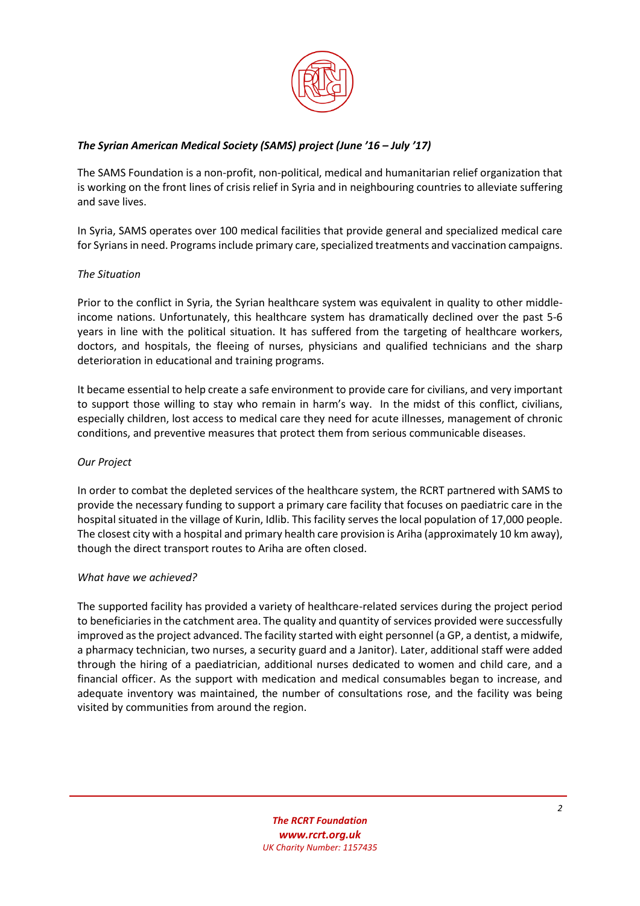

# *The Syrian American Medical Society (SAMS) project (June '16 – July '17)*

The SAMS Foundation is a non-profit, non-political, medical and humanitarian relief organization that is working on the front lines of crisis relief in Syria and in neighbouring countries to alleviate suffering and save lives.

In Syria, SAMS operates over 100 medical facilities that provide general and specialized medical care for Syrians in need. Programs include primary care, specialized treatments and vaccination campaigns.

## *The Situation*

Prior to the conflict in Syria, the Syrian healthcare system was equivalent in quality to other middleincome nations. Unfortunately, this healthcare system has dramatically declined over the past 5-6 years in line with the political situation. It has suffered from the targeting of healthcare workers, doctors, and hospitals, the fleeing of nurses, physicians and qualified technicians and the sharp deterioration in educational and training programs.

It became essential to help create a safe environment to provide care for civilians, and very important to support those willing to stay who remain in harm's way. In the midst of this conflict, civilians, especially children, lost access to medical care they need for acute illnesses, management of chronic conditions, and preventive measures that protect them from serious communicable diseases.

#### *Our Project*

In order to combat the depleted services of the healthcare system, the RCRT partnered with SAMS to provide the necessary funding to support a primary care facility that focuses on paediatric care in the hospital situated in the village of Kurin, Idlib. This facility serves the local population of 17,000 people. The closest city with a hospital and primary health care provision is Ariha (approximately 10 km away), though the direct transport routes to Ariha are often closed.

#### *What have we achieved?*

The supported facility has provided a variety of healthcare-related services during the project period to beneficiaries in the catchment area. The quality and quantity of services provided were successfully improved as the project advanced. The facility started with eight personnel (a GP, a dentist, a midwife, a pharmacy technician, two nurses, a security guard and a Janitor). Later, additional staff were added through the hiring of a paediatrician, additional nurses dedicated to women and child care, and a financial officer. As the support with medication and medical consumables began to increase, and adequate inventory was maintained, the number of consultations rose, and the facility was being visited by communities from around the region.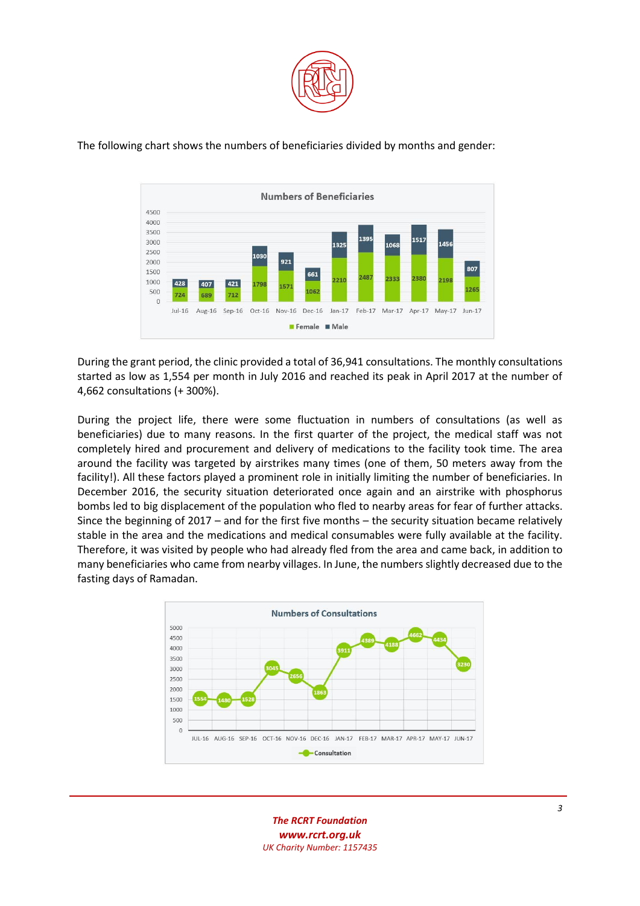



The following chart shows the numbers of beneficiaries divided by months and gender:

During the grant period, the clinic provided a total of 36,941 consultations. The monthly consultations started as low as 1,554 per month in July 2016 and reached its peak in April 2017 at the number of 4,662 consultations (+ 300%).

During the project life, there were some fluctuation in numbers of consultations (as well as beneficiaries) due to many reasons. In the first quarter of the project, the medical staff was not completely hired and procurement and delivery of medications to the facility took time. The area around the facility was targeted by airstrikes many times (one of them, 50 meters away from the facility!). All these factors played a prominent role in initially limiting the number of beneficiaries. In December 2016, the security situation deteriorated once again and an airstrike with phosphorus bombs led to big displacement of the population who fled to nearby areas for fear of further attacks. Since the beginning of 2017 – and for the first five months – the security situation became relatively stable in the area and the medications and medical consumables were fully available at the facility. Therefore, it was visited by people who had already fled from the area and came back, in addition to many beneficiaries who came from nearby villages. In June, the numbers slightly decreased due to the fasting days of Ramadan.



*The RCRT Foundation [www.rcrt.org.uk](http://www.rcrt.org.uk/) UK Charity Number[: 1157435](http://apps.charitycommission.gov.uk/Showcharity/RegisterOfCharities/SearchResultHandler.aspx?RegisteredCharityNumber=1157435)*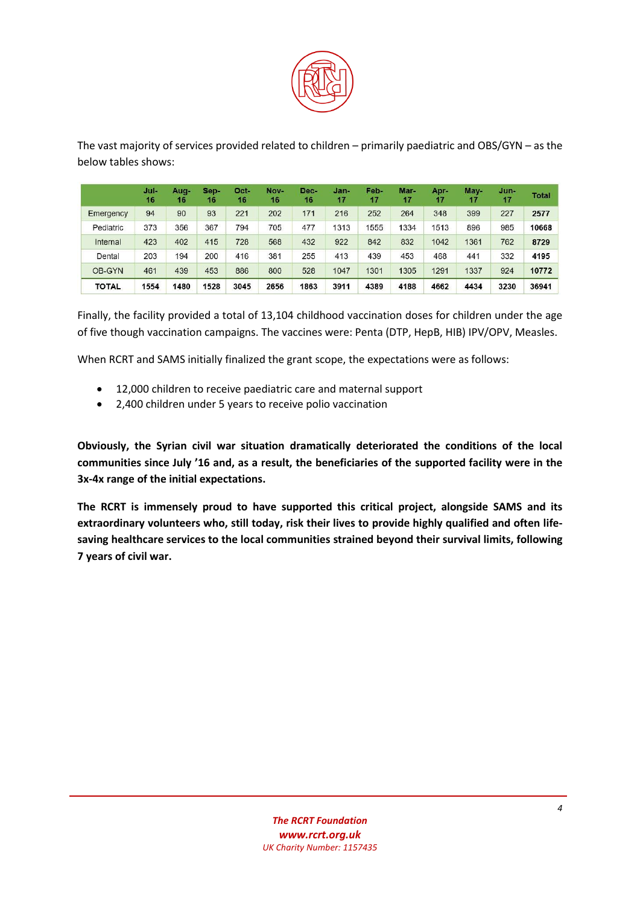

The vast majority of services provided related to children – primarily paediatric and OBS/GYN – as the below tables shows:

|              | Jul-<br>16 | Aug-<br>16 | Sep-<br>16 | Oct-<br>16 | Nov-<br>16 | Dec-<br>16 | Jan-<br>17 | Feb-<br>17 | Mar-<br>17 | Apr-<br>17 | May-<br>17 | $Jun-$<br>17 | <b>Total</b> |
|--------------|------------|------------|------------|------------|------------|------------|------------|------------|------------|------------|------------|--------------|--------------|
| Emergency    | 94         | 90         | 93         | 221        | 202        | 171        | 216        | 252        | 264        | 348        | 399        | 227          | 2577         |
| Pediatric    | 373        | 356        | 367        | 794        | 705        | 477        | 1313       | 1555       | 1334       | 1513       | 896        | 985          | 10668        |
| Internal     | 423        | 402        | 415        | 728        | 568        | 432        | 922        | 842        | 832        | 1042       | 1361       | 762          | 8729         |
| Dental       | 203        | 194        | 200        | 416        | 381        | 255        | 413        | 439        | 453        | 468        | 441        | 332          | 4195         |
| OB-GYN       | 461        | 439        | 453        | 886        | 800        | 528        | 1047       | 1301       | 1305       | 1291       | 1337       | 924          | 10772        |
| <b>TOTAL</b> | 1554       | 1480       | 1528       | 3045       | 2656       | 1863       | 3911       | 4389       | 4188       | 4662       | 4434       | 3230         | 36941        |

Finally, the facility provided a total of 13,104 childhood vaccination doses for children under the age of five though vaccination campaigns. The vaccines were: Penta (DTP, HepB, HIB) IPV/OPV, Measles.

When RCRT and SAMS initially finalized the grant scope, the expectations were as follows:

- 12,000 children to receive paediatric care and maternal support
- 2,400 children under 5 years to receive polio vaccination

**Obviously, the Syrian civil war situation dramatically deteriorated the conditions of the local communities since July '16 and, as a result, the beneficiaries of the supported facility were in the 3x-4x range of the initial expectations.**

**The RCRT is immensely proud to have supported this critical project, alongside SAMS and its extraordinary volunteers who, still today, risk their lives to provide highly qualified and often lifesaving healthcare services to the local communities strained beyond their survival limits, following 7 years of civil war.**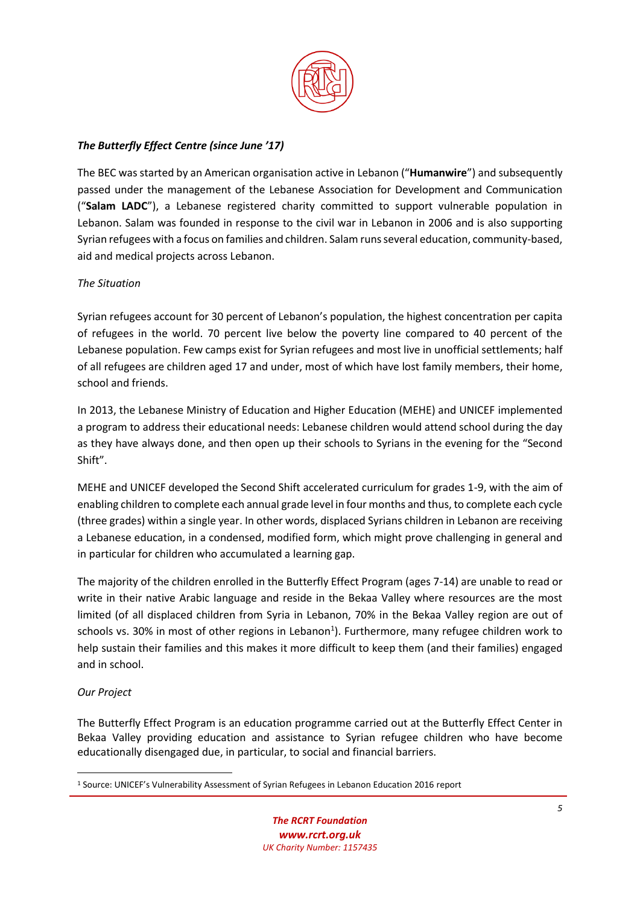

# *The Butterfly Effect Centre (since June '17)*

The BEC was started by an American organisation active in Lebanon ("**Humanwire**") and subsequently passed under the management of the Lebanese Association for Development and Communication ("**Salam LADC**"), a Lebanese registered charity committed to support vulnerable population in Lebanon. Salam was founded in response to the civil war in Lebanon in 2006 and is also supporting Syrian refugees with a focus on families and children. Salam runs several education, community-based, aid and medical projects across Lebanon.

## *The Situation*

Syrian refugees account for 30 percent of Lebanon's population, the highest concentration per capita of refugees in the world. 70 percent live below the poverty line compared to 40 percent of the Lebanese population. Few camps exist for Syrian refugees and most live in unofficial settlements; half of all refugees are children aged 17 and under, most of which have lost family members, their home, school and friends.

In 2013, the Lebanese Ministry of Education and Higher Education (MEHE) and UNICEF implemented a program to address their educational needs: Lebanese children would attend school during the day as they have always done, and then open up their schools to Syrians in the evening for the "Second Shift".

MEHE and UNICEF developed the Second Shift accelerated curriculum for grades 1-9, with the aim of enabling children to complete each annual grade level in four months and thus, to complete each cycle (three grades) within a single year. In other words, displaced Syrians children in Lebanon are receiving a Lebanese education, in a condensed, modified form, which might prove challenging in general and in particular for children who accumulated a learning gap.

The majority of the children enrolled in the Butterfly Effect Program (ages 7-14) are unable to read or write in their native Arabic language and reside in the Bekaa Valley where resources are the most limited (of all displaced children from Syria in Lebanon, 70% in the Bekaa Valley region are out of schools vs. 30% in most of other regions in Lebanon<sup>1</sup>). Furthermore, many refugee children work to help sustain their families and this makes it more difficult to keep them (and their families) engaged and in school.

#### *Our Project*

**.** 

The Butterfly Effect Program is an education programme carried out at the Butterfly Effect Center in Bekaa Valley providing education and assistance to Syrian refugee children who have become educationally disengaged due, in particular, to social and financial barriers.

<sup>1</sup> Source: UNICEF's Vulnerability Assessment of Syrian Refugees in Lebanon Education 2016 report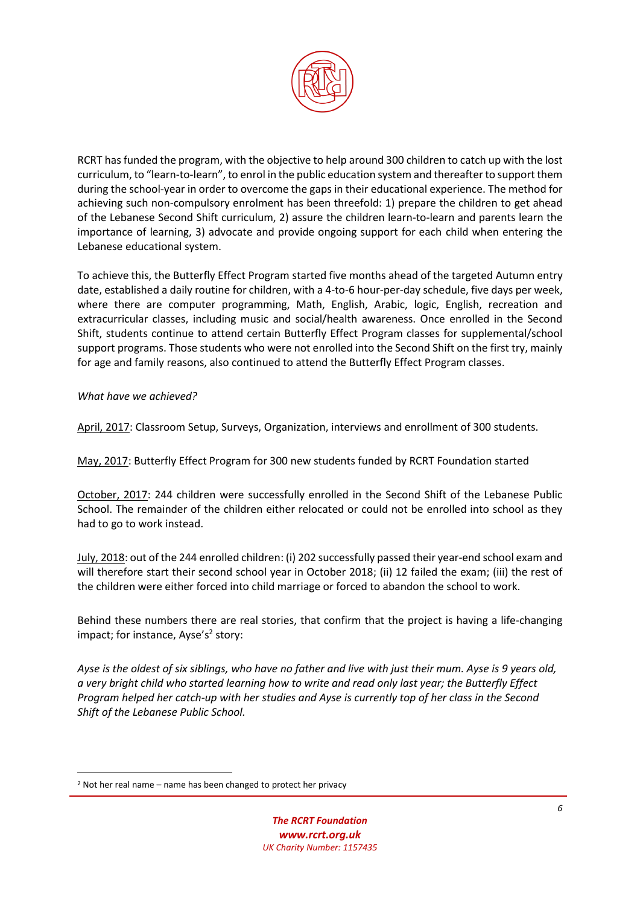

RCRT has funded the program, with the objective to help around 300 children to catch up with the lost curriculum, to "learn-to-learn", to enrol in the public education system and thereafter to support them during the school-year in order to overcome the gaps in their educational experience. The method for achieving such non-compulsory enrolment has been threefold: 1) prepare the children to get ahead of the Lebanese Second Shift curriculum, 2) assure the children learn-to-learn and parents learn the importance of learning, 3) advocate and provide ongoing support for each child when entering the Lebanese educational system.

To achieve this, the Butterfly Effect Program started five months ahead of the targeted Autumn entry date, established a daily routine for children, with a 4-to-6 hour-per-day schedule, five days per week, where there are computer programming, Math, English, Arabic, logic, English, recreation and extracurricular classes, including music and social/health awareness. Once enrolled in the Second Shift, students continue to attend certain Butterfly Effect Program classes for supplemental/school support programs. Those students who were not enrolled into the Second Shift on the first try, mainly for age and family reasons, also continued to attend the Butterfly Effect Program classes.

*What have we achieved?*

**.** 

April, 2017: Classroom Setup, Surveys, Organization, interviews and enrollment of 300 students.

May, 2017: Butterfly Effect Program for 300 new students funded by RCRT Foundation started

October, 2017: 244 children were successfully enrolled in the Second Shift of the Lebanese Public School. The remainder of the children either relocated or could not be enrolled into school as they had to go to work instead.

July, 2018: out of the 244 enrolled children: (i) 202 successfully passed their year-end school exam and will therefore start their second school year in October 2018; (ii) 12 failed the exam; (iii) the rest of the children were either forced into child marriage or forced to abandon the school to work.

Behind these numbers there are real stories, that confirm that the project is having a life-changing impact; for instance, Ayse's<sup>2</sup> story:

*Ayse is the oldest of six siblings, who have no father and live with just their mum. Ayse is 9 years old, a very bright child who started learning how to write and read only last year; the Butterfly Effect Program helped her catch-up with her studies and Ayse is currently top of her class in the Second Shift of the Lebanese Public School.*

<sup>2</sup> Not her real name – name has been changed to protect her privacy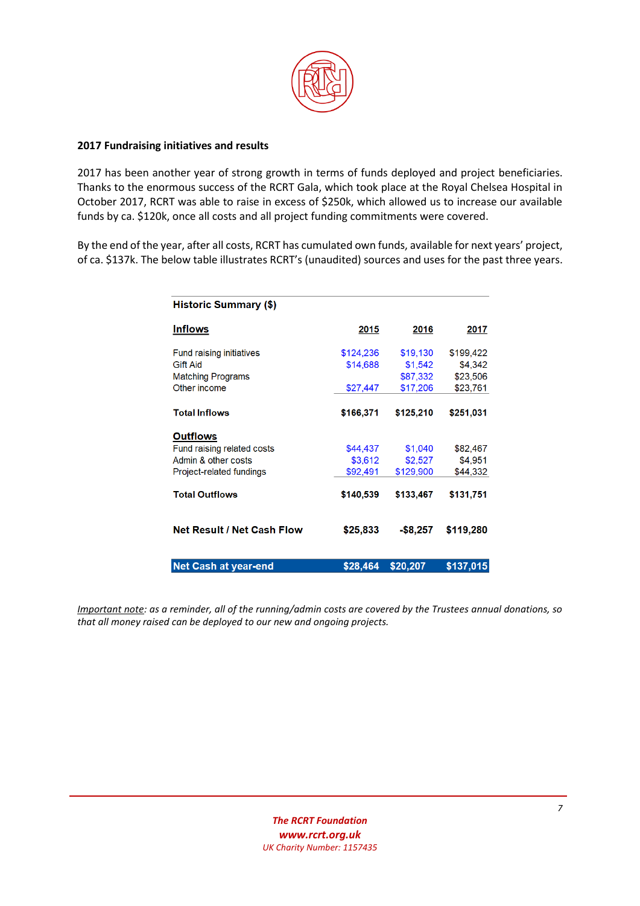

### **2017 Fundraising initiatives and results**

2017 has been another year of strong growth in terms of funds deployed and project beneficiaries. Thanks to the enormous success of the RCRT Gala, which took place at the Royal Chelsea Hospital in October 2017, RCRT was able to raise in excess of \$250k, which allowed us to increase our available funds by ca. \$120k, once all costs and all project funding commitments were covered.

By the end of the year, after all costs, RCRT has cumulated own funds, available for next years' project, of ca. \$137k. The below table illustrates RCRT's (unaudited) sources and uses for the past three years.

| <b>Historic Summary (\$)</b>    |           |             |           |
|---------------------------------|-----------|-------------|-----------|
| <b>Inflows</b>                  | 2015      | 2016        | 2017      |
| <b>Fund raising initiatives</b> | \$124,236 | \$19,130    | \$199,422 |
| <b>Gift Aid</b>                 | \$14,688  | \$1,542     | \$4,342   |
| <b>Matching Programs</b>        |           | \$87,332    | \$23,506  |
| Other income                    | \$27,447  | \$17,206    | \$23,761  |
| <b>Total Inflows</b>            | \$166,371 | \$125,210   | \$251,031 |
| <b>Outflows</b>                 |           |             |           |
| Fund raising related costs      | \$44,437  | \$1,040     | \$82,467  |
| Admin & other costs             | \$3,612   | \$2,527     | \$4,951   |
| Project-related fundings        | \$92,491  | \$129,900   | \$44,332  |
| <b>Total Outflows</b>           | \$140,539 | \$133,467   | \$131,751 |
| Net Result / Net Cash Flow      | \$25,833  | $-$ \$8,257 | \$119,280 |
| <b>Net Cash at year-end</b>     | \$28,464  | \$20,207    | \$137,015 |

*Important note: as a reminder, all of the running/admin costs are covered by the Trustees annual donations, so that all money raised can be deployed to our new and ongoing projects.*